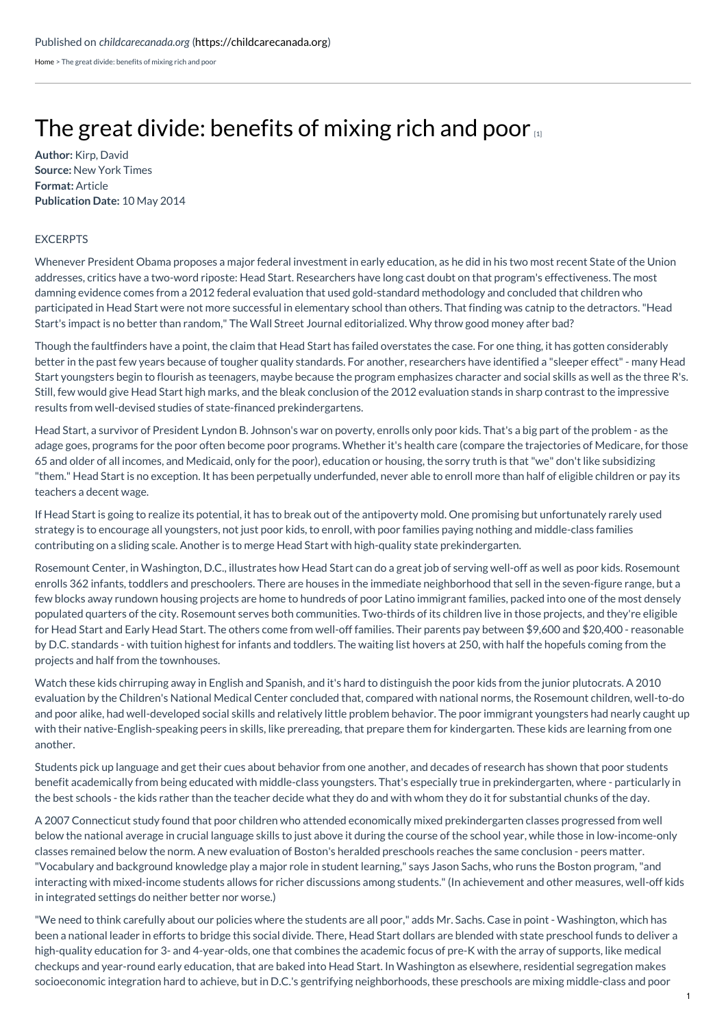[Home](https://childcarecanada.org/) > The great divide: benefits of mixing rich and poor

## The great divide: [benefits](https://childcarecanada.org/documents/child-care-news/14/05/great-divide-benefits-mixing-rich-and-poor) of mixing rich and poor

**Author:** Kirp, David **Source:** New York Times **Format:** Article **Publication Date:** 10 May 2014

## EXCERPTS

Whenever President Obama proposes a major federal investment in early education, as he did in his two most recent State of the Union addresses, critics have a two-word riposte: Head Start. Researchers have long cast doubt on that program's effectiveness. The most damning evidence comes from a 2012 federal evaluation that used gold-standard methodology and concluded that children who participated in Head Start were not more successful in elementary school than others. That finding was catnip to the detractors."Head Start's impact is no better than random," The Wall Street Journal editorialized. Why throw good money after bad?

Though the faultfinders have a point, the claim that Head Start has failed overstates the case. For one thing, it has gotten considerably better in the past few years because of tougher quality standards. For another, researchers have identified a "sleeper effect"- many Head Start youngsters begin to flourish as teenagers, maybe because the program emphasizes character and social skills as well as the three R's. Still, few would give Head Start high marks, and the bleak conclusion of the 2012 evaluation stands in sharp contrast to the impressive results from well-devised studies of state-financed prekindergartens.

Head Start, a survivor of President Lyndon B. Johnson's war on poverty, enrolls only poor kids. That's a big part of the problem - as the adage goes, programs for the poor often become poor programs. Whether it's health care (compare the trajectories of Medicare, for those 65 and older of all incomes, and Medicaid, only for the poor), education or housing, the sorry truth is that"we" don't like subsidizing "them." Head Start is no exception. It has been perpetually underfunded, never able to enroll more than half of eligible children or pay its teachers a decent wage.

If Head Start is going to realize its potential, it has to break out of the antipoverty mold. One promising but unfortunately rarely used strategy is to encourage all youngsters, not just poor kids, to enroll, with poor families paying nothing and middle-class families contributing on a sliding scale. Another is to merge Head Start with high-quality state prekindergarten.

Rosemount Center, in Washington, D.C., illustrates how Head Start can do a great job of serving well-off as well as poor kids. Rosemount enrolls 362 infants, toddlers and preschoolers. There are houses in the immediate neighborhood that sell in the seven-figure range, but a few blocks away rundown housing projects are home to hundreds of poor Latino immigrant families, packed into one of the most densely populated quarters of the city. Rosemount serves both communities. Two-thirds of its children live in those projects, and they're eligible for Head Start and Early Head Start. The others come from well-off families. Their parents pay between \$9,600 and \$20,400 - reasonable by D.C. standards - with tuition highest for infants and toddlers. The waiting list hovers at 250, with half the hopefuls coming from the projects and half from the townhouses.

Watch these kids chirruping away in English and Spanish, and it's hard to distinguish the poor kids from the junior plutocrats. A 2010 evaluation by the Children's National Medical Center concluded that, compared with national norms, the Rosemount children, well-to-do and poor alike, had well-developed social skills and relatively little problem behavior. The poor immigrant youngsters had nearly caught up with their native-English-speaking peers in skills, like prereading, that prepare them for kindergarten. These kids are learning from one another.

Students pick up language and get their cues about behavior from one another, and decades of research has shown that poor students benefit academically from being educated with middle-class youngsters. That's especially true in prekindergarten, where - particularly in the best schools - the kids rather than the teacher decide what they do and with whom they do it for substantial chunks of the day.

A 2007 Connecticut study found that poor children who attended economically mixed prekindergarten classes progressed from well below the national average in crucial language skills to just above it during the course of the school year, while those in low-income-only classes remained below the norm. A new evaluation of Boston's heralded preschools reaches the same conclusion - peers matter. "Vocabulary and background knowledge play a major role in student learning," says Jason Sachs, who runs the Boston program,"and interacting with mixed-income students allows for richer discussions among students."(In achievement and other measures, well-off kids in integrated settings do neither better nor worse.)

"We need to think carefully about our policies where the students are all poor," adds Mr. Sachs. Case in point - Washington, which has been a national leader in efforts to bridge this social divide. There, Head Start dollars are blended with state preschool funds to deliver a high-quality education for 3- and 4-year-olds, one that combines the academic focus of pre-K with the array of supports, like medical checkups and year-round early education, that are baked into Head Start. In Washington as elsewhere, residential segregation makes socioeconomic integration hard to achieve, but in D.C.'s gentrifying neighborhoods, these preschools are mixing middle-class and poor